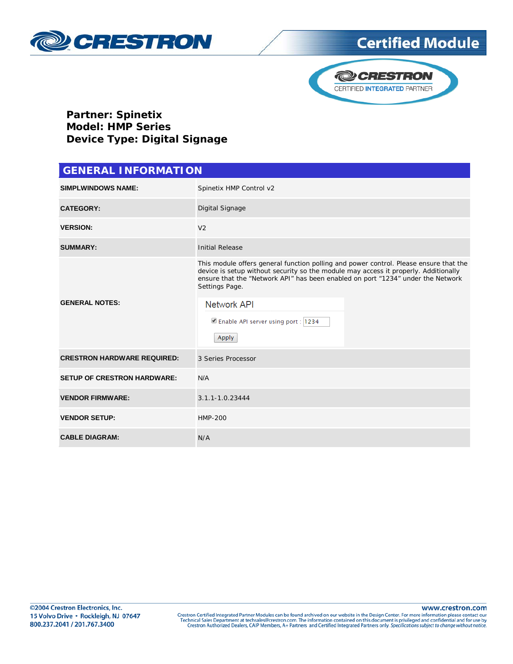

## **Certified Module**



**Partner: Spinetix Model: HMP Series Device Type: Digital Signage**

| <b>GENERAL INFORMATION</b>         |                                                                                                                                                                                                                                                                                   |  |  |
|------------------------------------|-----------------------------------------------------------------------------------------------------------------------------------------------------------------------------------------------------------------------------------------------------------------------------------|--|--|
| <b>SIMPLWINDOWS NAME:</b>          | Spinetix HMP Control v2                                                                                                                                                                                                                                                           |  |  |
| <b>CATEGORY:</b>                   | Digital Signage                                                                                                                                                                                                                                                                   |  |  |
| <b>VERSION:</b>                    | V <sub>2</sub>                                                                                                                                                                                                                                                                    |  |  |
| <b>SUMMARY:</b>                    | <b>Initial Release</b>                                                                                                                                                                                                                                                            |  |  |
| <b>GENERAL NOTES:</b>              | This module offers general function polling and power control. Please ensure that the<br>device is setup without security so the module may access it properly. Additionally<br>ensure that the "Network API" has been enabled on port "1234" under the Network<br>Settings Page. |  |  |
|                                    | <b>Network API</b><br>Enable API server using port : 1234<br><b>Apply</b>                                                                                                                                                                                                         |  |  |
| <b>CRESTRON HARDWARE REQUIRED:</b> | 3 Series Processor                                                                                                                                                                                                                                                                |  |  |
| <b>SETUP OF CRESTRON HARDWARE:</b> | N/A                                                                                                                                                                                                                                                                               |  |  |
| <b>VENDOR FIRMWARE:</b>            | 3.1.1-1.0.23444                                                                                                                                                                                                                                                                   |  |  |
| <b>VENDOR SETUP:</b>               | <b>HMP-200</b>                                                                                                                                                                                                                                                                    |  |  |
| <b>CABLE DIAGRAM:</b>              | N/A                                                                                                                                                                                                                                                                               |  |  |

www.crestron.com Crestron Certified Integrated Partner Modules can be found archived on our website in the Design Center. For more information please contact our<br>Technical Sales Department at techsales@crestron.com. The information contain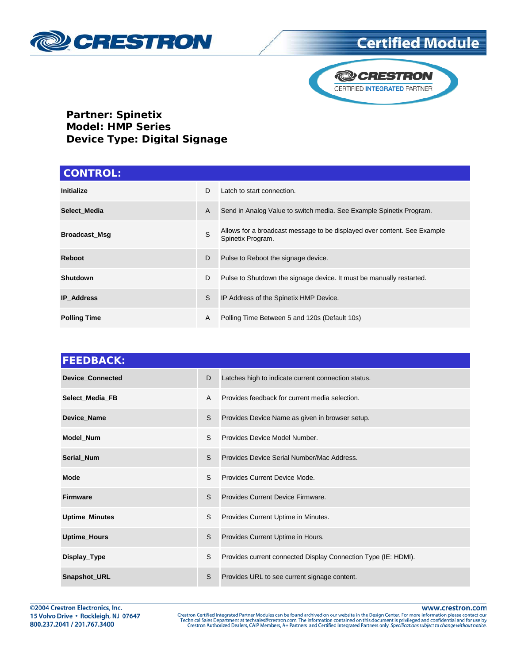

## **Certified Module**



**Partner: Spinetix Model: HMP Series Device Type: Digital Signage**

| <b>CONTROL:</b>      |    |                                                                                               |  |  |
|----------------------|----|-----------------------------------------------------------------------------------------------|--|--|
| <b>Initialize</b>    | D. | Latch to start connection.                                                                    |  |  |
| Select Media         | A  | Send in Analog Value to switch media. See Example Spinetix Program.                           |  |  |
| <b>Broadcast Msg</b> | S  | Allows for a broadcast message to be displayed over content. See Example<br>Spinetix Program. |  |  |
| Reboot               | D  | Pulse to Reboot the signage device.                                                           |  |  |
| Shutdown             | D  | Pulse to Shutdown the signage device. It must be manually restarted.                          |  |  |
| <b>IP</b> Address    | S  | IP Address of the Spinetix HMP Device.                                                        |  |  |
| <b>Polling Time</b>  | A  | Polling Time Between 5 and 120s (Default 10s)                                                 |  |  |

| <b>FEEDBACK:</b>        |   |                                                                |
|-------------------------|---|----------------------------------------------------------------|
| <b>Device_Connected</b> | D | Latches high to indicate current connection status.            |
| Select_Media_FB         | A | Provides feedback for current media selection.                 |
| Device_Name             | S | Provides Device Name as given in browser setup.                |
| Model_Num               | S | Provides Device Model Number.                                  |
| Serial_Num              | S | Provides Device Serial Number/Mac Address.                     |
| <b>Mode</b>             | S | Provides Current Device Mode.                                  |
| <b>Firmware</b>         | S | Provides Current Device Firmware.                              |
| <b>Uptime_Minutes</b>   | S | Provides Current Uptime in Minutes.                            |
| <b>Uptime_Hours</b>     | S | Provides Current Uptime in Hours.                              |
| Display_Type            | S | Provides current connected Display Connection Type (IE: HDMI). |
| Snapshot_URL            | S | Provides URL to see current signage content.                   |

www.crestron.com Crestron Certified Integrated Partner Modules can be found archived on our website in the Design Center. For more information please contact our<br>Technical Sales Department at techsales@crestron.com. The information contain